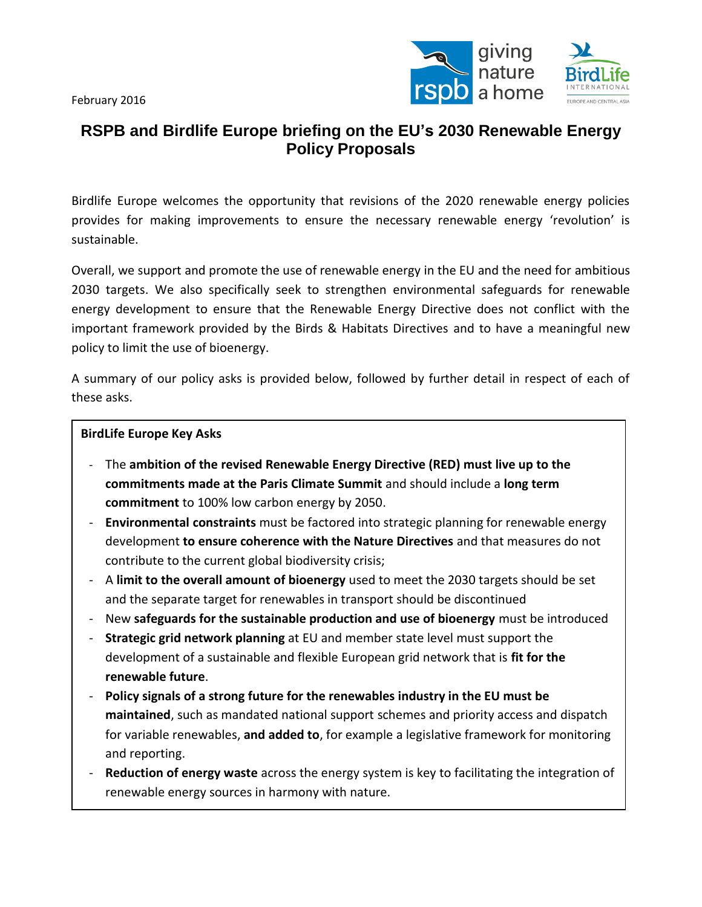February 2016



# **RSPB and Birdlife Europe briefing on the EU's 2030 Renewable Energy Policy Proposals**

Birdlife Europe welcomes the opportunity that revisions of the 2020 renewable energy policies provides for making improvements to ensure the necessary renewable energy 'revolution' is sustainable.

Overall, we support and promote the use of renewable energy in the EU and the need for ambitious 2030 targets. We also specifically seek to strengthen environmental safeguards for renewable energy development to ensure that the Renewable Energy Directive does not conflict with the important framework provided by the Birds & Habitats Directives and to have a meaningful new policy to limit the use of bioenergy.

A summary of our policy asks is provided below, followed by further detail in respect of each of these asks.

#### **BirdLife Europe Key Asks**

- The **ambition of the revised Renewable Energy Directive (RED) must live up to the commitments made at the Paris Climate Summit** and should include a **long term commitment** to 100% low carbon energy by 2050.
- **Environmental constraints** must be factored into strategic planning for renewable energy development **to ensure coherence with the Nature Directives** and that measures do not contribute to the current global biodiversity crisis;
- A **limit to the overall amount of bioenergy** used to meet the 2030 targets should be set and the separate target for renewables in transport should be discontinued
- New **safeguards for the sustainable production and use of bioenergy** must be introduced
- **Strategic grid network planning** at EU and member state level must support the development of a sustainable and flexible European grid network that is **fit for the renewable future**.
- **Policy signals of a strong future for the renewables industry in the EU must be maintained**, such as mandated national support schemes and priority access and dispatch for variable renewables, **and added to**, for example a legislative framework for monitoring and reporting.
- **Reduction of energy waste** across the energy system is key to facilitating the integration of renewable energy sources in harmony with nature.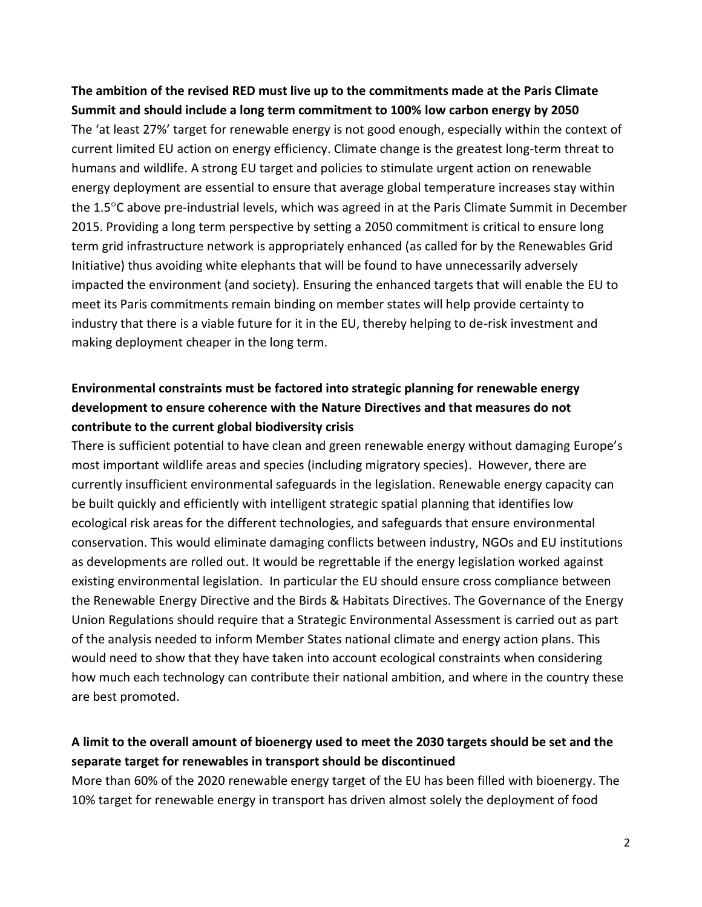## **The ambition of the revised RED must live up to the commitments made at the Paris Climate Summit and should include a long term commitment to 100% low carbon energy by 2050** The 'at least 27%' target for renewable energy is not good enough, especially within the context of current limited EU action on energy efficiency. Climate change is the greatest long-term threat to humans and wildlife. A strong EU target and policies to stimulate urgent action on renewable energy deployment are essential to ensure that average global temperature increases stay within the 1.5°C above pre-industrial levels, which was agreed in at the Paris Climate Summit in December 2015. Providing a long term perspective by setting a 2050 commitment is critical to ensure long term grid infrastructure network is appropriately enhanced (as called for by the Renewables Grid Initiative) thus avoiding white elephants that will be found to have unnecessarily adversely impacted the environment (and society). Ensuring the enhanced targets that will enable the EU to meet its Paris commitments remain binding on member states will help provide certainty to industry that there is a viable future for it in the EU, thereby helping to de-risk investment and making deployment cheaper in the long term.

## **Environmental constraints must be factored into strategic planning for renewable energy development to ensure coherence with the Nature Directives and that measures do not contribute to the current global biodiversity crisis**

There is sufficient potential to have clean and green renewable energy without damaging Europe's most important wildlife areas and species (including migratory species). However, there are currently insufficient environmental safeguards in the legislation. Renewable energy capacity can be built quickly and efficiently with intelligent strategic spatial planning that identifies low ecological risk areas for the different technologies, and safeguards that ensure environmental conservation. This would eliminate damaging conflicts between industry, NGOs and EU institutions as developments are rolled out. It would be regrettable if the energy legislation worked against existing environmental legislation. In particular the EU should ensure cross compliance between the Renewable Energy Directive and the Birds & Habitats Directives. The Governance of the Energy Union Regulations should require that a Strategic Environmental Assessment is carried out as part of the analysis needed to inform Member States national climate and energy action plans. This would need to show that they have taken into account ecological constraints when considering how much each technology can contribute their national ambition, and where in the country these are best promoted.

### **A limit to the overall amount of bioenergy used to meet the 2030 targets should be set and the separate target for renewables in transport should be discontinued**

More than 60% of the 2020 renewable energy target of the EU has been filled with bioenergy. The 10% target for renewable energy in transport has driven almost solely the deployment of food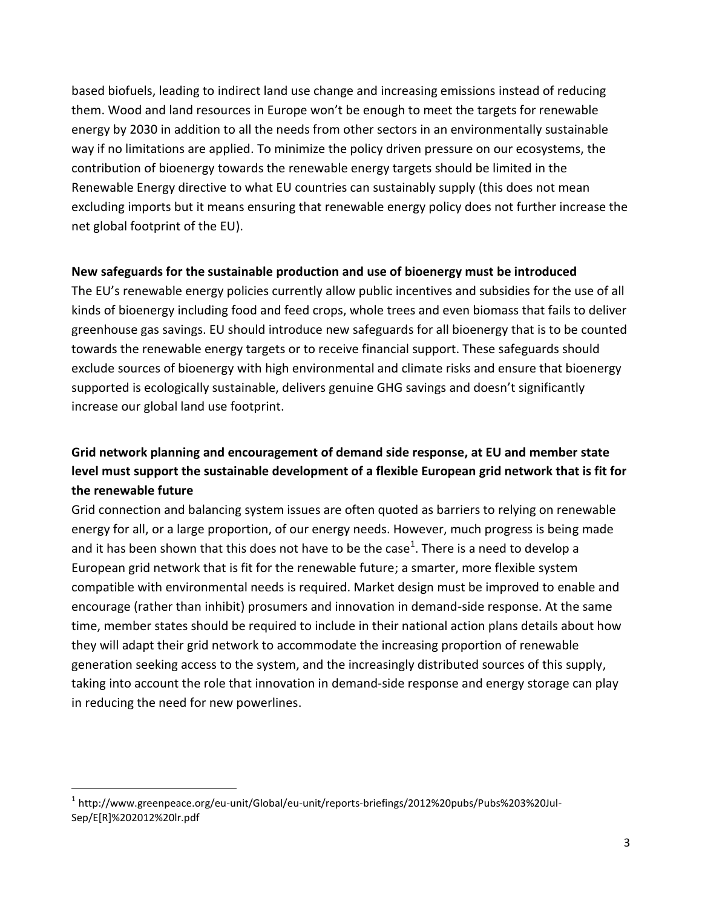based biofuels, leading to indirect land use change and increasing emissions instead of reducing them. Wood and land resources in Europe won't be enough to meet the targets for renewable energy by 2030 in addition to all the needs from other sectors in an environmentally sustainable way if no limitations are applied. To minimize the policy driven pressure on our ecosystems, the contribution of bioenergy towards the renewable energy targets should be limited in the Renewable Energy directive to what EU countries can sustainably supply (this does not mean excluding imports but it means ensuring that renewable energy policy does not further increase the net global footprint of the EU).

#### **New safeguards for the sustainable production and use of bioenergy must be introduced**

The EU's renewable energy policies currently allow public incentives and subsidies for the use of all kinds of bioenergy including food and feed crops, whole trees and even biomass that fails to deliver greenhouse gas savings. EU should introduce new safeguards for all bioenergy that is to be counted towards the renewable energy targets or to receive financial support. These safeguards should exclude sources of bioenergy with high environmental and climate risks and ensure that bioenergy supported is ecologically sustainable, delivers genuine GHG savings and doesn't significantly increase our global land use footprint.

### **Grid network planning and encouragement of demand side response, at EU and member state level must support the sustainable development of a flexible European grid network that is fit for the renewable future**

Grid connection and balancing system issues are often quoted as barriers to relying on renewable energy for all, or a large proportion, of our energy needs. However, much progress is being made and it has been shown that this does not have to be the case<sup>1</sup>. There is a need to develop a European grid network that is fit for the renewable future; a smarter, more flexible system compatible with environmental needs is required. Market design must be improved to enable and encourage (rather than inhibit) prosumers and innovation in demand-side response. At the same time, member states should be required to include in their national action plans details about how they will adapt their grid network to accommodate the increasing proportion of renewable generation seeking access to the system, and the increasingly distributed sources of this supply, taking into account the role that innovation in demand-side response and energy storage can play in reducing the need for new powerlines.

 $\overline{a}$ 

<sup>1</sup> http://www.greenpeace.org/eu-unit/Global/eu-unit/reports-briefings/2012%20pubs/Pubs%203%20Jul-Sep/E[R]%202012%20lr.pdf